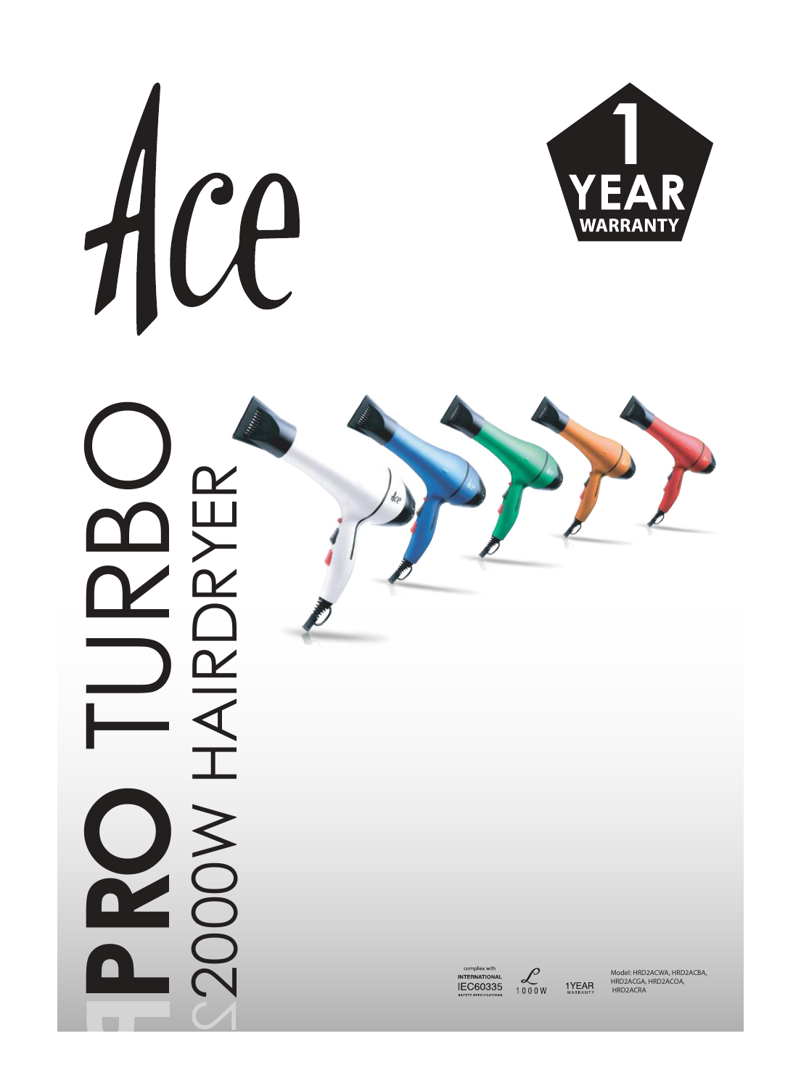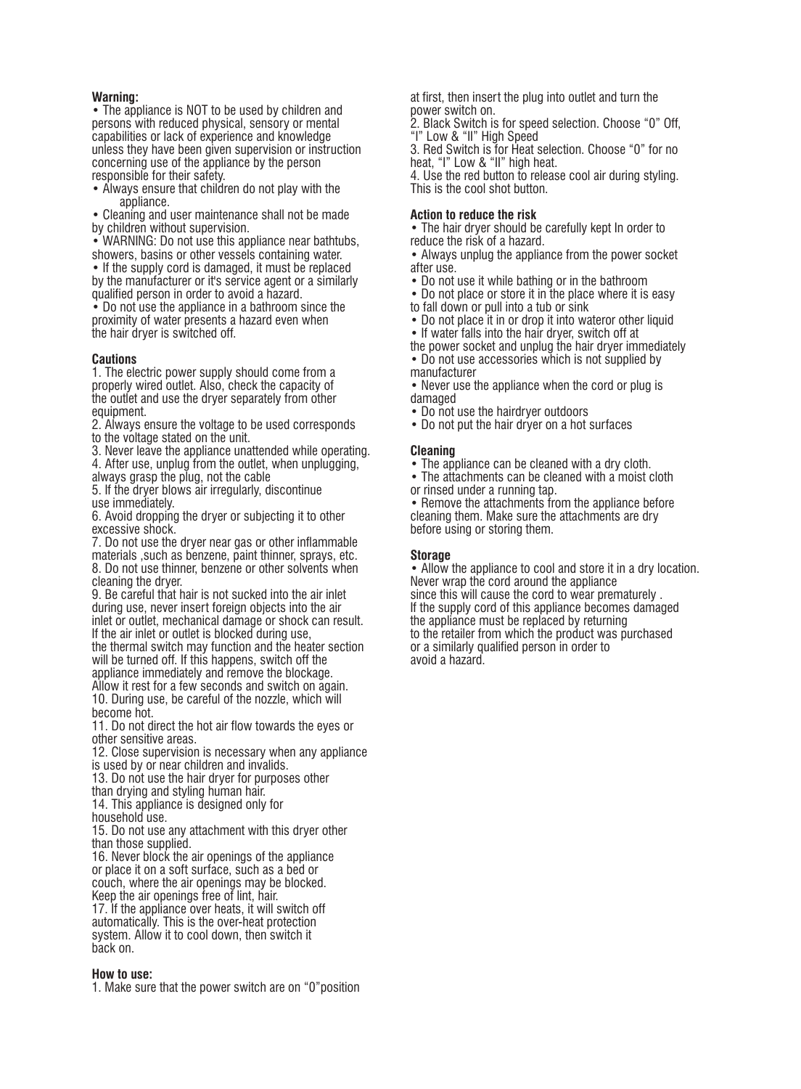### **Warning:**

• The appliance is NOT to be used by children and persons with reduced physical, sensory or mental capabilities or lack of experience and knowledge unless they have been given supervision or instruction concerning use of the appliance by the person responsible for their safety.

• Always ensure that children do not play with the appliance.

• Cleaning and user maintenance shall not be made by children without supervision.

• WARNING: Do not use this appliance near bathtubs, showers, basins or other vessels containing water.

• If the supply cord is damaged, it must be replaced by the manufacturer or it's service agent or a similarly qualified person in order to avoid a hazard.

• Do not use the appliance in a bathroom since the proximity of water presents a hazard even when the hair dryer is switched off.

# **Cautions**

1. The electric power supply should come from a properly wired outlet. Also, check the capacity of the outlet and use the dryer separately from other equipment.

2. Always ensure the voltage to be used corresponds to the voltage stated on the unit.

3. Never leave the appliance unattended while operating.

4. After use, unplug from the outlet, when unplugging,

always grasp the plug, not the cable 5. If the dryer blows air irregularly, discontinue

use immediately.

6. Avoid dropping the dryer or subjecting it to other excessive shock.

7. Do not use the dryer near gas or other inflammable materials ,such as benzene, paint thinner, sprays, etc. 8. Do not use thinner, benzene or other solvents when cleaning the dryer.

9. Be careful that hair is not sucked into the air inlet during use, never insert foreign objects into the air inlet or outlet, mechanical damage or shock can result. If the air inlet or outlet is blocked during use,

the thermal switch may function and the heater section will be turned off. If this happens, switch off the appliance immediately and remove the blockage.

Allow it rest for a few seconds and switch on again. 10. During use, be careful of the nozzle, which will become hot.

11. Do not direct the hot air flow towards the eyes or other sensitive areas.

12. Close supervision is necessary when any appliance is used by or near children and invalids.

13. Do not use the hair dryer for purposes other than drying and styling human hair.

14. This appliance is designed only for

household use.

15. Do not use any attachment with this dryer other than those supplied.

16. Never block the air openings of the appliance or place it on a soft surface, such as a bed or couch, where the air openings may be blocked. Keep the air openings free of lint, hair.

17. If the appliance over heats, it will switch off automatically. This is the over-heat protection system. Allow it to cool down, then switch it back on.

# **How to use:**

1. Make sure that the power switch are on "0"position

at first, then insert the plug into outlet and turn the power switch on.

2. Black Switch is for speed selection. Choose "0" Off, "I" Low & "II" High Speed

3. Red Switch is for Heat selection. Choose "0" for no heat, "I" Low & "II" high heat.

4. Use the red button to release cool air during styling. This is the cool shot button.

# **Action to reduce the risk**

• The hair dryer should be carefully kept In order to reduce the risk of a hazard.

• Always unplug the appliance from the power socket after use.

• Do not use it while bathing or in the bathroom

• Do not place or store it in the place where it is easy to fall down or pull into a tub or sink

• Do not place it in or drop it into wateror other liquid

• If water falls into the hair dryer, switch off at

the power socket and unplug the hair dryer immediately • Do not use accessories which is not supplied by manufacturer

• Never use the appliance when the cord or plug is damaged

• Do not use the hairdryer outdoors

• Do not put the hair dryer on a hot surfaces

# **Cleaning**

• The appliance can be cleaned with a dry cloth.

• The attachments can be cleaned with a moist cloth or rinsed under a running tap.

• Remove the attachments from the appliance before cleaning them. Make sure the attachments are dry before using or storing them.

# **Storage**

• Allow the appliance to cool and store it in a dry location. Never wrap the cord around the appliance since this will cause the cord to wear prematurely . If the supply cord of this appliance becomes damaged the appliance must be replaced by returning to the retailer from which the product was purchased or a similarly qualified person in order to avoid a hazard.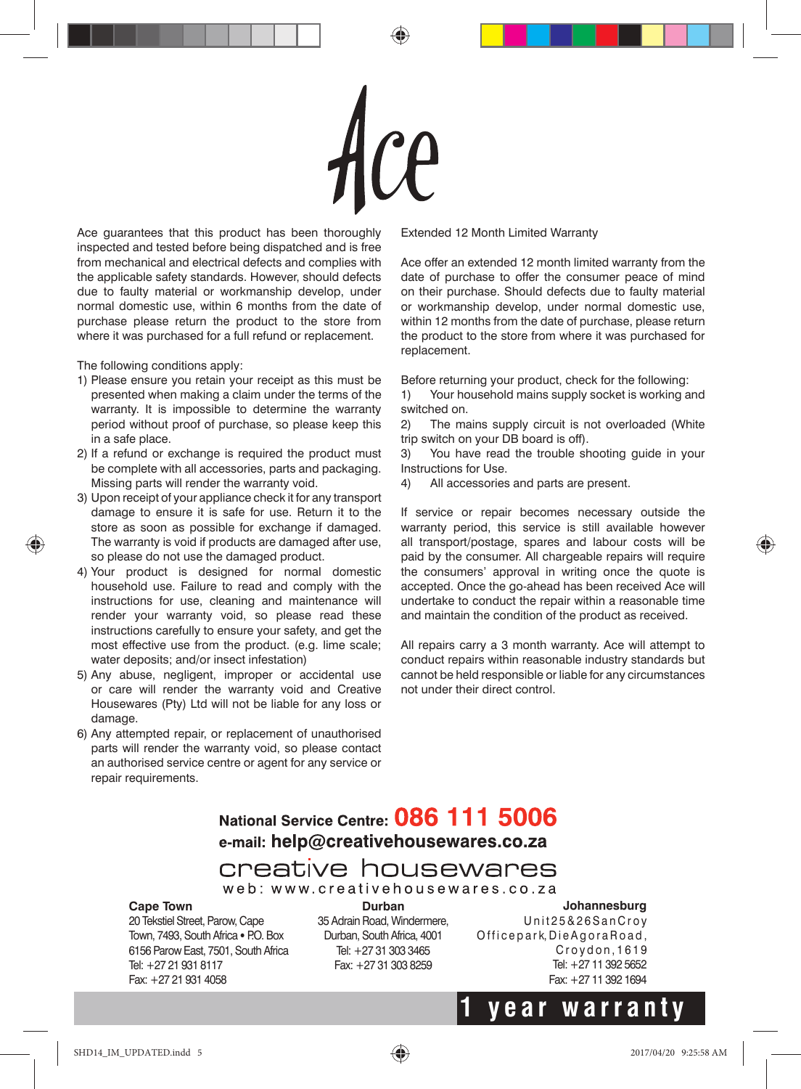

Ace guarantees that this product has been thoroughly inspected and tested before being dispatched and is free from mechanical and electrical defects and complies with the applicable safety standards. However, should defects due to faulty material or workmanship develop, under normal domestic use, within 6 months from the date of purchase please return the product to the store from where it was purchased for a full refund or replacement.

The following conditions apply:

- 1) Please ensure you retain your receipt as this must be presented when making a claim under the terms of the warranty. It is impossible to determine the warranty period without proof of purchase, so please keep this in a safe place.
- 2) If a refund or exchange is required the product must be complete with all accessories, parts and packaging. Missing parts will render the warranty void.
- 3) Upon receipt of your appliance check it for any transport damage to ensure it is safe for use. Return it to the store as soon as possible for exchange if damaged. The warranty is void if products are damaged after use, so please do not use the damaged product.
- 4) Your product is designed for normal domestic household use. Failure to read and comply with the instructions for use, cleaning and maintenance will render your warranty void, so please read these instructions carefully to ensure your safety, and get the most effective use from the product. (e.g. lime scale; water deposits; and/or insect infestation)
- 5) Any abuse, negligent, improper or accidental use or care will render the warranty void and Creative Housewares (Pty) Ltd will not be liable for any loss or damage.
- 6) Any attempted repair, or replacement of unauthorised parts will render the warranty void, so please contact an authorised service centre or agent for any service or repair requirements.

Extended 12 Month Limited Warranty

Ace offer an extended 12 month limited warranty from the date of purchase to offer the consumer peace of mind on their purchase. Should defects due to faulty material or workmanship develop, under normal domestic use, within 12 months from the date of purchase, please return the product to the store from where it was purchased for replacement.

Before returning your product, check for the following:

1) Your household mains supply socket is working and switched on.

2) The mains supply circuit is not overloaded (White trip switch on your DB board is off).

3) You have read the trouble shooting guide in your Instructions for Use.

4) All accessories and parts are present.

If service or repair becomes necessary outside the warranty period, this service is still available however all transport/postage, spares and labour costs will be paid by the consumer. All chargeable repairs will require the consumers' approval in writing once the quote is accepted. Once the go-ahead has been received Ace will undertake to conduct the repair within a reasonable time and maintain the condition of the product as received.

All repairs carry a 3 month warranty. Ace will attempt to conduct repairs within reasonable industry standards but cannot be held responsible or liable for any circumstances not under their direct control.

# National Service Centre: 086 111 5006 e-mail: help@creativehousewares.co.za

creative housewares web: www.creativehousewares.co.za

# **Cape Town**

20 Tekstiel Street, Parow, Cape Town, 7493, South Africa • P.O. Box 6156 Parow East, 7501, South Africa Tel: +27 21 931 8117 Fax: +27 21 931 4058

**Durban**  35 Adrain Road, Windermere, Durban, South Africa, 4001 Tel: +27 31 303 3465 Fax: +27 31 303 8259

**Johannesburg**  Unit 25 & 26 San Croy Officepark, Die Agora Road, Croydon, 1619 Tel: +27 11 392 5652 Fax: +27 11 392 1694

**1 y e ar warrant y**